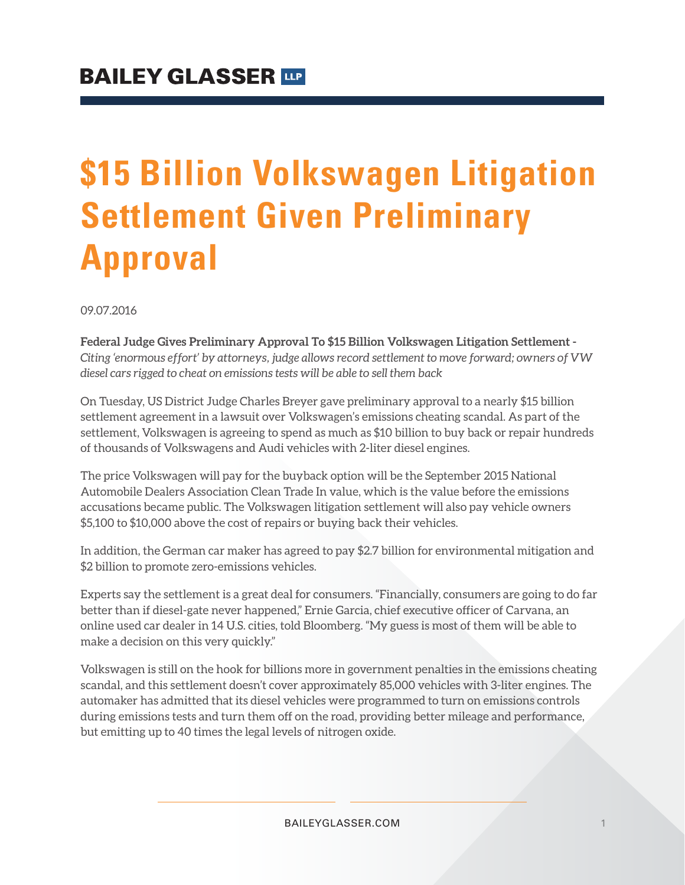# **\$15 Billion Volkswagen Litigation Settlement Given Preliminary Approval**

09.07.2016

**Federal Judge Gives Preliminary Approval To \$15 Billion Volkswagen Litigation Settlement -** *Citing 'enormous effort' by attorneys, judge allows record settlement to move forward; owners of VW diesel cars rigged to cheat on emissions tests will be able to sell them back*

On Tuesday, US District Judge Charles Breyer gave preliminary approval to a nearly \$15 billion settlement agreement in a lawsuit over Volkswagen's emissions cheating scandal. As part of the settlement, Volkswagen is agreeing to spend as much as \$10 billion to buy back or repair hundreds of thousands of Volkswagens and Audi vehicles with 2-liter diesel engines.

The price Volkswagen will pay for the buyback option will be the September 2015 National Automobile Dealers Association Clean Trade In value, which is the value before the emissions accusations became public. The Volkswagen litigation settlement will also pay vehicle owners \$5,100 to \$10,000 above the cost of repairs or buying back their vehicles.

In addition, the German car maker has agreed to pay \$2.7 billion for environmental mitigation and \$2 billion to promote zero-emissions vehicles.

Experts say the settlement is a great deal for consumers. "Financially, consumers are going to do far better than if diesel-gate never happened," Ernie Garcia, chief executive officer of Carvana, an online used car dealer in 14 U.S. cities, told Bloomberg. "My guess is most of them will be able to make a decision on this very quickly."

Volkswagen is still on the hook for billions more in government penalties in the emissions cheating scandal, and this settlement doesn't cover approximately 85,000 vehicles with 3-liter engines. The automaker has admitted that its diesel vehicles were programmed to turn on emissions controls during emissions tests and turn them off on the road, providing better mileage and performance, but emitting up to 40 times the legal levels of nitrogen oxide.